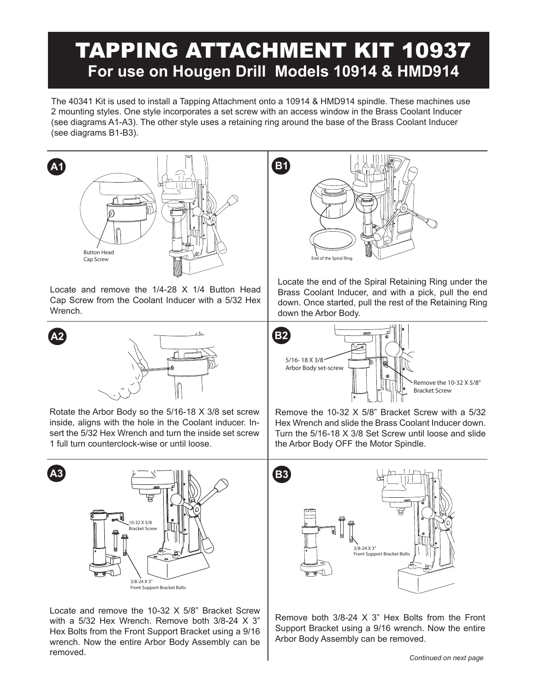# TAPPING ATTACHMENT KIT 10937 **For use on Hougen Drill Models 10914 & HMD914**

The 40341 Kit is used to install a Tapping Attachment onto a 10914 & HMD914 spindle. These machines use 2 mounting styles. One style incorporates a set screw with an access window in the Brass Coolant Inducer (see diagrams A1-A3). The other style uses a retaining ring around the base of the Brass Coolant Inducer (see diagrams B1-B3).



Locate and remove the 1/4-28 X 1/4 Button Head Cap Screw from the Coolant Inducer with a 5/32 Hex Wrench.



Rotate the Arbor Body so the 5/16-18 X 3/8 set screw inside, aligns with the hole in the Coolant inducer. Insert the 5/32 Hex Wrench and turn the inside set screw 1 full turn counterclock-wise or until loose.



Locate and remove the 10-32 X 5/8" Bracket Screw with a 5/32 Hex Wrench. Remove both 3/8-24 X 3" Hex Bolts from the Front Support Bracket using a 9/16 wrench. Now the entire Arbor Body Assembly can be removed.



Locate the end of the Spiral Retaining Ring under the Brass Coolant Inducer, and with a pick, pull the end down. Once started, pull the rest of the Retaining Ring down the Arbor Body.



Remove the 10-32 X 5/8" Bracket Screw with a 5/32 Hex Wrench and slide the Brass Coolant Inducer down. Turn the 5/16-18 X 3/8 Set Screw until loose and slide the Arbor Body OFF the Motor Spindle.



Remove both 3/8-24 X 3" Hex Bolts from the Front Support Bracket using a 9/16 wrench. Now the entire Arbor Body Assembly can be removed.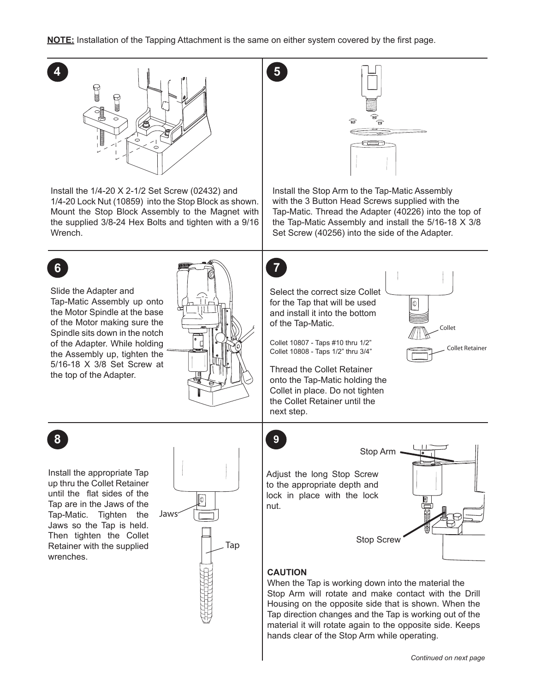

hands clear of the Stop Arm while operating.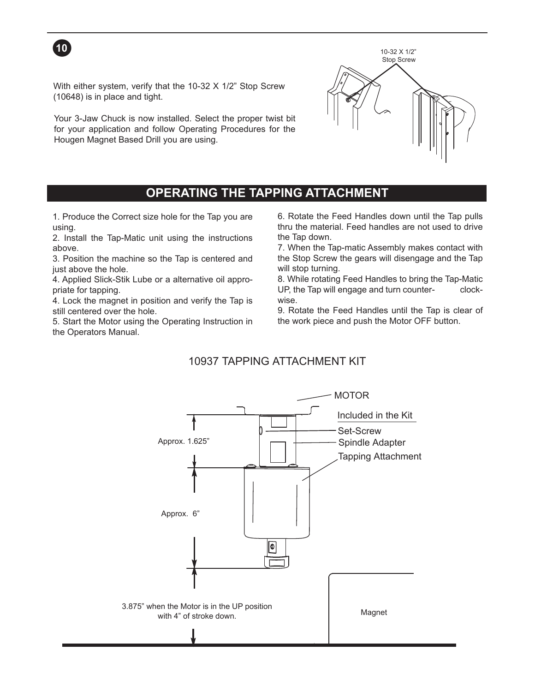

With either system, verify that the 10-32 X 1/2" Stop Screw (10648) is in place and tight.

Your 3-Jaw Chuck is now installed. Select the proper twist bit for your application and follow Operating Procedures for the Hougen Magnet Based Drill you are using.



### **OPERATING THE TAPPING ATTACHMENT**

1. Produce the Correct size hole for the Tap you are using.

2. Install the Tap-Matic unit using the instructions above.

3. Position the machine so the Tap is centered and just above the hole.

4. Applied Slick-Stik Lube or a alternative oil appropriate for tapping.

4. Lock the magnet in position and verify the Tap is still centered over the hole.

5. Start the Motor using the Operating Instruction in the Operators Manual.

6. Rotate the Feed Handles down until the Tap pulls thru the material. Feed handles are not used to drive the Tap down.

7. When the Tap-matic Assembly makes contact with the Stop Screw the gears will disengage and the Tap will stop turning.

8. While rotating Feed Handles to bring the Tap-Matic UP, the Tap will engage and turn counter- clockwise.

9. Rotate the Feed Handles until the Tap is clear of the work piece and push the Motor OFF button.

#### 10937 TAPPING ATTACHMENT KIT